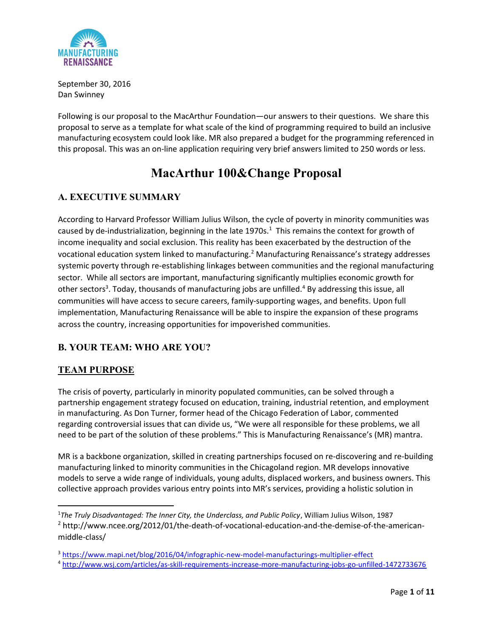

September 30, 2016 Dan Swinney

Following is our proposal to the MacArthur Foundation—our answers to their questions. We share this proposal to serve as a template for what scale of the kind of programming required to build an inclusive manufacturing ecosystem could look like. MR also prepared a budget for the programming referenced in this proposal. This was an on-line application requiring very brief answers limited to 250 words or less.

## MacArthur 100&Change Proposal

### A. EXECUTIVE SUMMARY

According to Harvard Professor William Julius Wilson, the cycle of poverty in minority communities was caused by de-industrialization, beginning in the late 1970s.<sup>1</sup> This remains the context for growth of income inequality and social exclusion. This reality has been exacerbated by the destruction of the vocational education system linked to manufacturing.<sup>2</sup> Manufacturing Renaissance's strategy addresses systemic poverty through re-establishing linkages between communities and the regional manufacturing sector. While all sectors are important, manufacturing significantly multiplies economic growth for other sectors<sup>3</sup>. Today, thousands of manufacturing jobs are unfilled.<sup>4</sup> By addressing this issue, all communities will have access to secure careers, family-supporting wages, and benefits. Upon full implementation, Manufacturing Renaissance will be able to inspire the expansion of these programs across the country, increasing opportunities for impoverished communities.

### B. YOUR TEAM: WHO ARE YOU?

#### TEAM PURPOSE

The crisis of poverty, particularly in minority populated communities, can be solved through a partnership engagement strategy focused on education, training, industrial retention, and employment in manufacturing. As Don Turner, former head of the Chicago Federation of Labor, commented regarding controversial issues that can divide us, "We were all responsible for these problems, we all need to be part of the solution of these problems." This is Manufacturing Renaissance's (MR) mantra.

MR is a backbone organization, skilled in creating partnerships focused on re-discovering and re-building manufacturing linked to minority communities in the Chicagoland region. MR develops innovative models to serve a wide range of individuals, young adults, displaced workers, and business owners. This collective approach provides various entry points into MR's services, providing a holistic solution in

<sup>&</sup>lt;sup>1</sup>The Truly Disadvantaged: The Inner City, the Underclass, and Public Policy, William Julius Wilson, 1987 <sup>2</sup> http://www.ncee.org/2012/01/the-death-of-vocational-education-and-the-demise-of-the-americanmiddle-class/

<sup>3</sup> https://www.mapi.net/blog/2016/04/infographic-new-model-manufacturings-multiplier-effect

<sup>4</sup> http://www.wsj.com/articles/as-skill-requirements-increase-more-manufacturing-jobs-go-unfilled-1472733676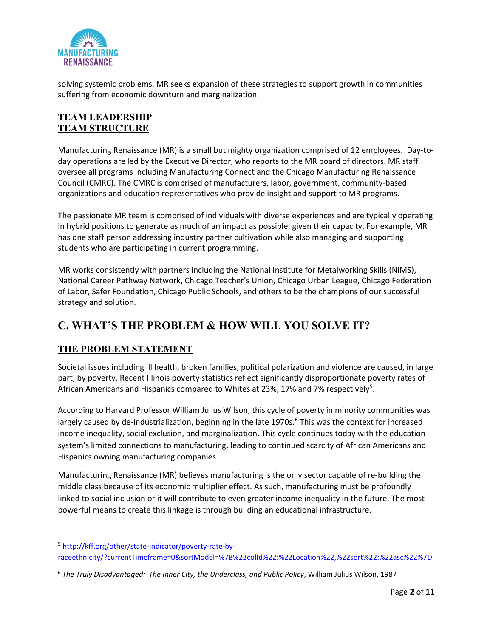

solving systemic problems. MR seeks expansion of these strategies to support growth in communities suffering from economic downturn and marginalization.

#### TEAM LEADERSHIP TEAM STRUCTURE

Manufacturing Renaissance (MR) is a small but mighty organization comprised of 12 employees. Day-today operations are led by the Executive Director, who reports to the MR board of directors. MR staff oversee all programs including Manufacturing Connect and the Chicago Manufacturing Renaissance Council (CMRC). The CMRC is comprised of manufacturers, labor, government, community-based organizations and education representatives who provide insight and support to MR programs.

The passionate MR team is comprised of individuals with diverse experiences and are typically operating in hybrid positions to generate as much of an impact as possible, given their capacity. For example, MR has one staff person addressing industry partner cultivation while also managing and supporting students who are participating in current programming.

MR works consistently with partners including the National Institute for Metalworking Skills (NIMS), National Career Pathway Network, Chicago Teacher's Union, Chicago Urban League, Chicago Federation of Labor, Safer Foundation, Chicago Public Schools, and others to be the champions of our successful strategy and solution.

## C. WHAT'S THE PROBLEM & HOW WILL YOU SOLVE IT?

#### THE PROBLEM STATEMENT

Societal issues including ill health, broken families, political polarization and violence are caused, in large part, by poverty. Recent Illinois poverty statistics reflect significantly disproportionate poverty rates of African Americans and Hispanics compared to Whites at 23%, 17% and 7% respectively<sup>5</sup>.

According to Harvard Professor William Julius Wilson, this cycle of poverty in minority communities was largely caused by de-industrialization, beginning in the late 1970s.<sup>6</sup> This was the context for increased income inequality, social exclusion, and marginalization. This cycle continues today with the education system's limited connections to manufacturing, leading to continued scarcity of African Americans and Hispanics owning manufacturing companies.

Manufacturing Renaissance (MR) believes manufacturing is the only sector capable of re-building the middle class because of its economic multiplier effect. As such, manufacturing must be profoundly linked to social inclusion or it will contribute to even greater income inequality in the future. The most powerful means to create this linkage is through building an educational infrastructure.

<sup>5</sup> http://kff.org/other/state-indicator/poverty-rate-byraceethnicity/?currentTimeframe=0&sortModel=%7B%22colId%22:%22Location%22,%22sort%22:%22asc%22%7D

 $6$  The Truly Disadvantaged: The Inner City, the Underclass, and Public Policy, William Julius Wilson, 1987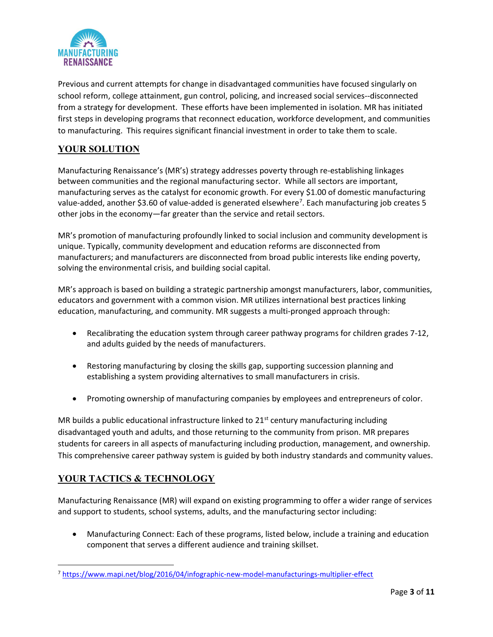

Previous and current attempts for change in disadvantaged communities have focused singularly on school reform, college attainment, gun control, policing, and increased social services--disconnected from a strategy for development. These efforts have been implemented in isolation. MR has initiated first steps in developing programs that reconnect education, workforce development, and communities to manufacturing. This requires significant financial investment in order to take them to scale.

#### YOUR SOLUTION

Manufacturing Renaissance's (MR's) strategy addresses poverty through re-establishing linkages between communities and the regional manufacturing sector. While all sectors are important, manufacturing serves as the catalyst for economic growth. For every \$1.00 of domestic manufacturing value-added, another \$3.60 of value-added is generated elsewhere<sup>7</sup>. Each manufacturing job creates 5 other jobs in the economy—far greater than the service and retail sectors.

MR's promotion of manufacturing profoundly linked to social inclusion and community development is unique. Typically, community development and education reforms are disconnected from manufacturers; and manufacturers are disconnected from broad public interests like ending poverty, solving the environmental crisis, and building social capital.

MR's approach is based on building a strategic partnership amongst manufacturers, labor, communities, educators and government with a common vision. MR utilizes international best practices linking education, manufacturing, and community. MR suggests a multi-pronged approach through:

- Recalibrating the education system through career pathway programs for children grades 7-12, and adults guided by the needs of manufacturers.
- Restoring manufacturing by closing the skills gap, supporting succession planning and establishing a system providing alternatives to small manufacturers in crisis.
- Promoting ownership of manufacturing companies by employees and entrepreneurs of color.

MR builds a public educational infrastructure linked to  $21<sup>st</sup>$  century manufacturing including disadvantaged youth and adults, and those returning to the community from prison. MR prepares students for careers in all aspects of manufacturing including production, management, and ownership. This comprehensive career pathway system is guided by both industry standards and community values.

#### YOUR TACTICS & TECHNOLOGY

Manufacturing Renaissance (MR) will expand on existing programming to offer a wider range of services and support to students, school systems, adults, and the manufacturing sector including:

 Manufacturing Connect: Each of these programs, listed below, include a training and education component that serves a different audience and training skillset.

<sup>7</sup> https://www.mapi.net/blog/2016/04/infographic-new-model-manufacturings-multiplier-effect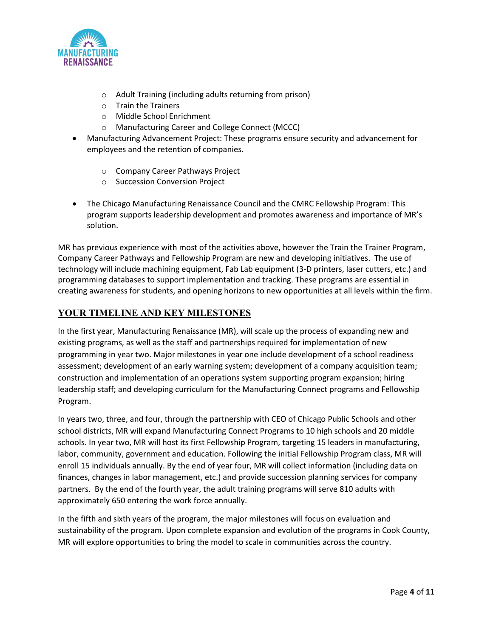

- o Adult Training (including adults returning from prison)
- o Train the Trainers
- o Middle School Enrichment
- o Manufacturing Career and College Connect (MCCC)
- Manufacturing Advancement Project: These programs ensure security and advancement for employees and the retention of companies.
	- o Company Career Pathways Project
	- o Succession Conversion Project
- The Chicago Manufacturing Renaissance Council and the CMRC Fellowship Program: This program supports leadership development and promotes awareness and importance of MR's solution.

MR has previous experience with most of the activities above, however the Train the Trainer Program, Company Career Pathways and Fellowship Program are new and developing initiatives. The use of technology will include machining equipment, Fab Lab equipment (3-D printers, laser cutters, etc.) and programming databases to support implementation and tracking. These programs are essential in creating awareness for students, and opening horizons to new opportunities at all levels within the firm.

#### YOUR TIMELINE AND KEY MILESTONES

In the first year, Manufacturing Renaissance (MR), will scale up the process of expanding new and existing programs, as well as the staff and partnerships required for implementation of new programming in year two. Major milestones in year one include development of a school readiness assessment; development of an early warning system; development of a company acquisition team; construction and implementation of an operations system supporting program expansion; hiring leadership staff; and developing curriculum for the Manufacturing Connect programs and Fellowship Program.

In years two, three, and four, through the partnership with CEO of Chicago Public Schools and other school districts, MR will expand Manufacturing Connect Programs to 10 high schools and 20 middle schools. In year two, MR will host its first Fellowship Program, targeting 15 leaders in manufacturing, labor, community, government and education. Following the initial Fellowship Program class, MR will enroll 15 individuals annually. By the end of year four, MR will collect information (including data on finances, changes in labor management, etc.) and provide succession planning services for company partners. By the end of the fourth year, the adult training programs will serve 810 adults with approximately 650 entering the work force annually.

In the fifth and sixth years of the program, the major milestones will focus on evaluation and sustainability of the program. Upon complete expansion and evolution of the programs in Cook County, MR will explore opportunities to bring the model to scale in communities across the country.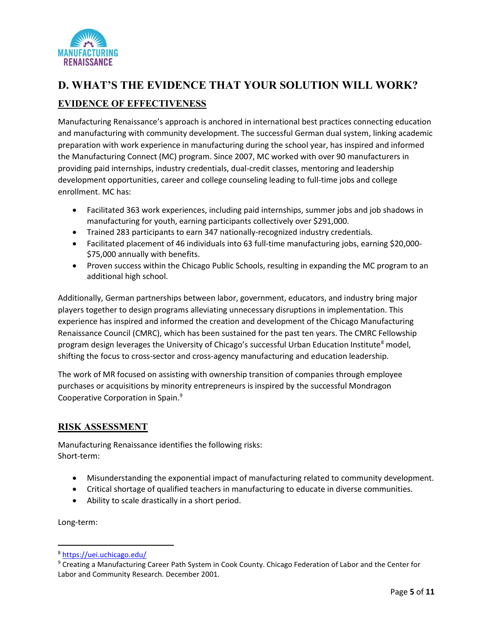

# D. WHAT'S THE EVIDENCE THAT YOUR SOLUTION WILL WORK? EVIDENCE OF EFFECTIVENESS

Manufacturing Renaissance's approach is anchored in international best practices connecting education and manufacturing with community development. The successful German dual system, linking academic preparation with work experience in manufacturing during the school year, has inspired and informed the Manufacturing Connect (MC) program. Since 2007, MC worked with over 90 manufacturers in providing paid internships, industry credentials, dual-credit classes, mentoring and leadership development opportunities, career and college counseling leading to full-time jobs and college enrollment. MC has:

- Facilitated 363 work experiences, including paid internships, summer jobs and job shadows in manufacturing for youth, earning participants collectively over \$291,000.
- Trained 283 participants to earn 347 nationally-recognized industry credentials.
- Facilitated placement of 46 individuals into 63 full-time manufacturing jobs, earning \$20,000-\$75,000 annually with benefits.
- Proven success within the Chicago Public Schools, resulting in expanding the MC program to an additional high school.

Additionally, German partnerships between labor, government, educators, and industry bring major players together to design programs alleviating unnecessary disruptions in implementation. This experience has inspired and informed the creation and development of the Chicago Manufacturing Renaissance Council (CMRC), which has been sustained for the past ten years. The CMRC Fellowship program design leverages the University of Chicago's successful Urban Education Institute<sup>8</sup> model, shifting the focus to cross-sector and cross-agency manufacturing and education leadership.

The work of MR focused on assisting with ownership transition of companies through employee purchases or acquisitions by minority entrepreneurs is inspired by the successful Mondragon Cooperative Corporation in Spain.<sup>9</sup>

#### RISK ASSESSMENT

Manufacturing Renaissance identifies the following risks: Short-term:

- Misunderstanding the exponential impact of manufacturing related to community development.
- Critical shortage of qualified teachers in manufacturing to educate in diverse communities.
- Ability to scale drastically in a short period.

Long-term:

<sup>8</sup> https://uei.uchicago.edu/

<sup>&</sup>lt;sup>9</sup> Creating a Manufacturing Career Path System in Cook County. Chicago Federation of Labor and the Center for Labor and Community Research. December 2001.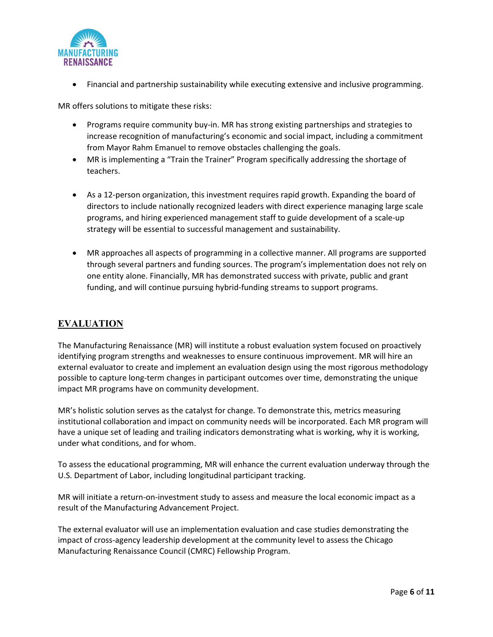

Financial and partnership sustainability while executing extensive and inclusive programming.

MR offers solutions to mitigate these risks:

- Programs require community buy-in. MR has strong existing partnerships and strategies to increase recognition of manufacturing's economic and social impact, including a commitment from Mayor Rahm Emanuel to remove obstacles challenging the goals.
- MR is implementing a "Train the Trainer" Program specifically addressing the shortage of teachers.
- As a 12-person organization, this investment requires rapid growth. Expanding the board of directors to include nationally recognized leaders with direct experience managing large scale programs, and hiring experienced management staff to guide development of a scale-up strategy will be essential to successful management and sustainability.
- MR approaches all aspects of programming in a collective manner. All programs are supported through several partners and funding sources. The program's implementation does not rely on one entity alone. Financially, MR has demonstrated success with private, public and grant funding, and will continue pursuing hybrid-funding streams to support programs.

#### EVALUATION

The Manufacturing Renaissance (MR) will institute a robust evaluation system focused on proactively identifying program strengths and weaknesses to ensure continuous improvement. MR will hire an external evaluator to create and implement an evaluation design using the most rigorous methodology possible to capture long-term changes in participant outcomes over time, demonstrating the unique impact MR programs have on community development.

MR's holistic solution serves as the catalyst for change. To demonstrate this, metrics measuring institutional collaboration and impact on community needs will be incorporated. Each MR program will have a unique set of leading and trailing indicators demonstrating what is working, why it is working, under what conditions, and for whom.

To assess the educational programming, MR will enhance the current evaluation underway through the U.S. Department of Labor, including longitudinal participant tracking.

MR will initiate a return-on-investment study to assess and measure the local economic impact as a result of the Manufacturing Advancement Project.

The external evaluator will use an implementation evaluation and case studies demonstrating the impact of cross-agency leadership development at the community level to assess the Chicago Manufacturing Renaissance Council (CMRC) Fellowship Program.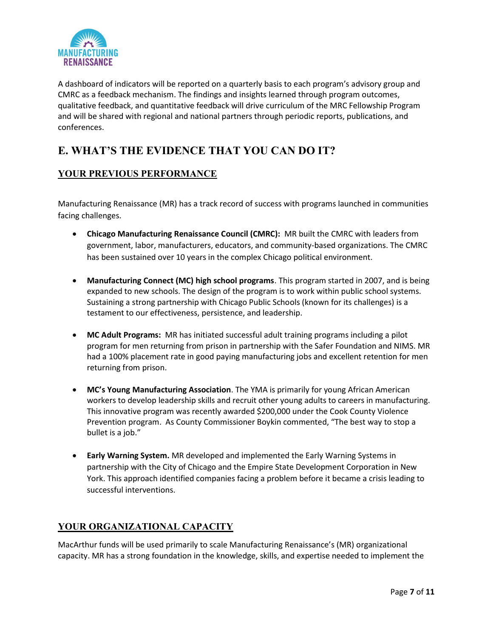

A dashboard of indicators will be reported on a quarterly basis to each program's advisory group and CMRC as a feedback mechanism. The findings and insights learned through program outcomes, qualitative feedback, and quantitative feedback will drive curriculum of the MRC Fellowship Program and will be shared with regional and national partners through periodic reports, publications, and conferences.

### E. WHAT'S THE EVIDENCE THAT YOU CAN DO IT?

#### YOUR PREVIOUS PERFORMANCE

Manufacturing Renaissance (MR) has a track record of success with programs launched in communities facing challenges.

- Chicago Manufacturing Renaissance Council (CMRC): MR built the CMRC with leaders from government, labor, manufacturers, educators, and community-based organizations. The CMRC has been sustained over 10 years in the complex Chicago political environment.
- Manufacturing Connect (MC) high school programs. This program started in 2007, and is being expanded to new schools. The design of the program is to work within public school systems. Sustaining a strong partnership with Chicago Public Schools (known for its challenges) is a testament to our effectiveness, persistence, and leadership.
- MC Adult Programs: MR has initiated successful adult training programs including a pilot program for men returning from prison in partnership with the Safer Foundation and NIMS. MR had a 100% placement rate in good paying manufacturing jobs and excellent retention for men returning from prison.
- MC's Young Manufacturing Association. The YMA is primarily for young African American workers to develop leadership skills and recruit other young adults to careers in manufacturing. This innovative program was recently awarded \$200,000 under the Cook County Violence Prevention program. As County Commissioner Boykin commented, "The best way to stop a bullet is a job."
- **Early Warning System.** MR developed and implemented the Early Warning Systems in partnership with the City of Chicago and the Empire State Development Corporation in New York. This approach identified companies facing a problem before it became a crisis leading to successful interventions.

#### YOUR ORGANIZATIONAL CAPACITY

MacArthur funds will be used primarily to scale Manufacturing Renaissance's (MR) organizational capacity. MR has a strong foundation in the knowledge, skills, and expertise needed to implement the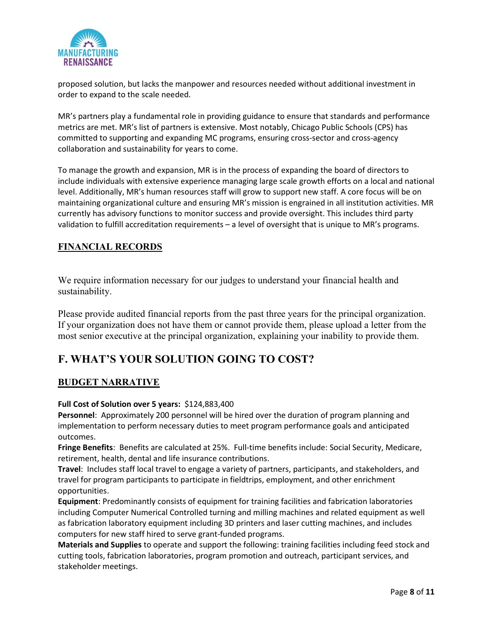

proposed solution, but lacks the manpower and resources needed without additional investment in order to expand to the scale needed.

MR's partners play a fundamental role in providing guidance to ensure that standards and performance metrics are met. MR's list of partners is extensive. Most notably, Chicago Public Schools (CPS) has committed to supporting and expanding MC programs, ensuring cross-sector and cross-agency collaboration and sustainability for years to come.

To manage the growth and expansion, MR is in the process of expanding the board of directors to include individuals with extensive experience managing large scale growth efforts on a local and national level. Additionally, MR's human resources staff will grow to support new staff. A core focus will be on maintaining organizational culture and ensuring MR's mission is engrained in all institution activities. MR currently has advisory functions to monitor success and provide oversight. This includes third party validation to fulfill accreditation requirements – a level of oversight that is unique to MR's programs.

#### FINANCIAL RECORDS

We require information necessary for our judges to understand your financial health and sustainability.

Please provide audited financial reports from the past three years for the principal organization. If your organization does not have them or cannot provide them, please upload a letter from the most senior executive at the principal organization, explaining your inability to provide them.

### F. WHAT'S YOUR SOLUTION GOING TO COST?

#### BUDGET NARRATIVE

#### Full Cost of Solution over 5 years: \$124,883,400

Personnel: Approximately 200 personnel will be hired over the duration of program planning and implementation to perform necessary duties to meet program performance goals and anticipated outcomes.

Fringe Benefits: Benefits are calculated at 25%. Full-time benefits include: Social Security, Medicare, retirement, health, dental and life insurance contributions.

Travel: Includes staff local travel to engage a variety of partners, participants, and stakeholders, and travel for program participants to participate in fieldtrips, employment, and other enrichment opportunities.

Equipment: Predominantly consists of equipment for training facilities and fabrication laboratories including Computer Numerical Controlled turning and milling machines and related equipment as well as fabrication laboratory equipment including 3D printers and laser cutting machines, and includes computers for new staff hired to serve grant-funded programs.

Materials and Supplies to operate and support the following: training facilities including feed stock and cutting tools, fabrication laboratories, program promotion and outreach, participant services, and stakeholder meetings.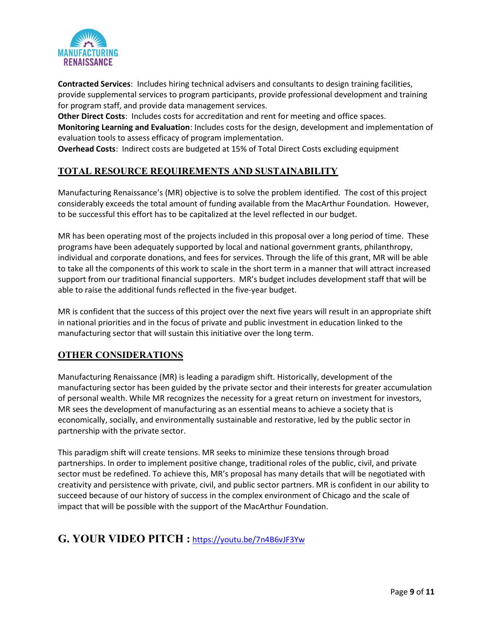

Contracted Services: Includes hiring technical advisers and consultants to design training facilities, provide supplemental services to program participants, provide professional development and training for program staff, and provide data management services.

Other Direct Costs: Includes costs for accreditation and rent for meeting and office spaces. Monitoring Learning and Evaluation: Includes costs for the design, development and implementation of evaluation tools to assess efficacy of program implementation.

Overhead Costs: Indirect costs are budgeted at 15% of Total Direct Costs excluding equipment

#### TOTAL RESOURCE REQUIREMENTS AND SUSTAINABILITY

Manufacturing Renaissance's (MR) objective is to solve the problem identified. The cost of this project considerably exceeds the total amount of funding available from the MacArthur Foundation. However, to be successful this effort has to be capitalized at the level reflected in our budget.

MR has been operating most of the projects included in this proposal over a long period of time. These programs have been adequately supported by local and national government grants, philanthropy, individual and corporate donations, and fees for services. Through the life of this grant, MR will be able to take all the components of this work to scale in the short term in a manner that will attract increased support from our traditional financial supporters. MR's budget includes development staff that will be able to raise the additional funds reflected in the five-year budget.

MR is confident that the success of this project over the next five years will result in an appropriate shift in national priorities and in the focus of private and public investment in education linked to the manufacturing sector that will sustain this initiative over the long term.

#### OTHER CONSIDERATIONS

Manufacturing Renaissance (MR) is leading a paradigm shift. Historically, development of the manufacturing sector has been guided by the private sector and their interests for greater accumulation of personal wealth. While MR recognizes the necessity for a great return on investment for investors, MR sees the development of manufacturing as an essential means to achieve a society that is economically, socially, and environmentally sustainable and restorative, led by the public sector in partnership with the private sector.

This paradigm shift will create tensions. MR seeks to minimize these tensions through broad partnerships. In order to implement positive change, traditional roles of the public, civil, and private sector must be redefined. To achieve this, MR's proposal has many details that will be negotiated with creativity and persistence with private, civil, and public sector partners. MR is confident in our ability to succeed because of our history of success in the complex environment of Chicago and the scale of impact that will be possible with the support of the MacArthur Foundation.

### G. YOUR VIDEO PITCH : https://youtu.be/7n4B6vJF3Yw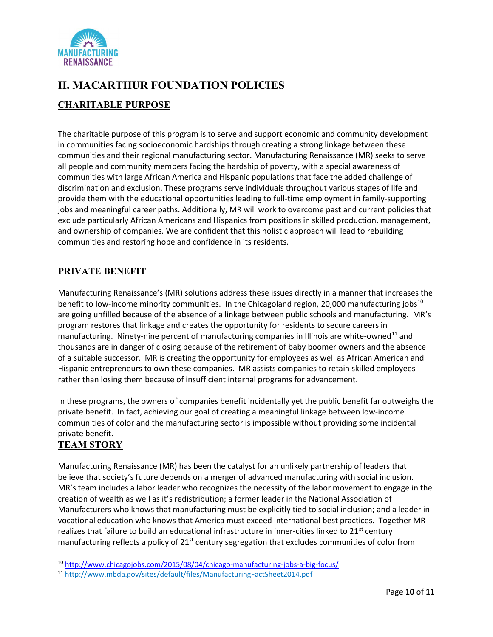

## H. MACARTHUR FOUNDATION POLICIES CHARITABLE PURPOSE

The charitable purpose of this program is to serve and support economic and community development in communities facing socioeconomic hardships through creating a strong linkage between these communities and their regional manufacturing sector. Manufacturing Renaissance (MR) seeks to serve all people and community members facing the hardship of poverty, with a special awareness of communities with large African America and Hispanic populations that face the added challenge of discrimination and exclusion. These programs serve individuals throughout various stages of life and provide them with the educational opportunities leading to full-time employment in family-supporting jobs and meaningful career paths. Additionally, MR will work to overcome past and current policies that exclude particularly African Americans and Hispanics from positions in skilled production, management, and ownership of companies. We are confident that this holistic approach will lead to rebuilding communities and restoring hope and confidence in its residents.

#### PRIVATE BENEFIT

Manufacturing Renaissance's (MR) solutions address these issues directly in a manner that increases the benefit to low-income minority communities. In the Chicagoland region, 20,000 manufacturing jobs<sup>10</sup> are going unfilled because of the absence of a linkage between public schools and manufacturing. MR's program restores that linkage and creates the opportunity for residents to secure careers in manufacturing. Ninety-nine percent of manufacturing companies in Illinois are white-owned<sup>11</sup> and thousands are in danger of closing because of the retirement of baby boomer owners and the absence of a suitable successor. MR is creating the opportunity for employees as well as African American and Hispanic entrepreneurs to own these companies. MR assists companies to retain skilled employees rather than losing them because of insufficient internal programs for advancement.

In these programs, the owners of companies benefit incidentally yet the public benefit far outweighs the private benefit. In fact, achieving our goal of creating a meaningful linkage between low-income communities of color and the manufacturing sector is impossible without providing some incidental private benefit.

### TEAM STORY

Manufacturing Renaissance (MR) has been the catalyst for an unlikely partnership of leaders that believe that society's future depends on a merger of advanced manufacturing with social inclusion. MR's team includes a labor leader who recognizes the necessity of the labor movement to engage in the creation of wealth as well as it's redistribution; a former leader in the National Association of Manufacturers who knows that manufacturing must be explicitly tied to social inclusion; and a leader in vocational education who knows that America must exceed international best practices. Together MR realizes that failure to build an educational infrastructure in inner-cities linked to  $21^{st}$  century manufacturing reflects a policy of  $21^{st}$  century segregation that excludes communities of color from

<sup>10</sup> http://www.chicagojobs.com/2015/08/04/chicago-manufacturing-jobs-a-big-focus/

<sup>11</sup> http://www.mbda.gov/sites/default/files/ManufacturingFactSheet2014.pdf